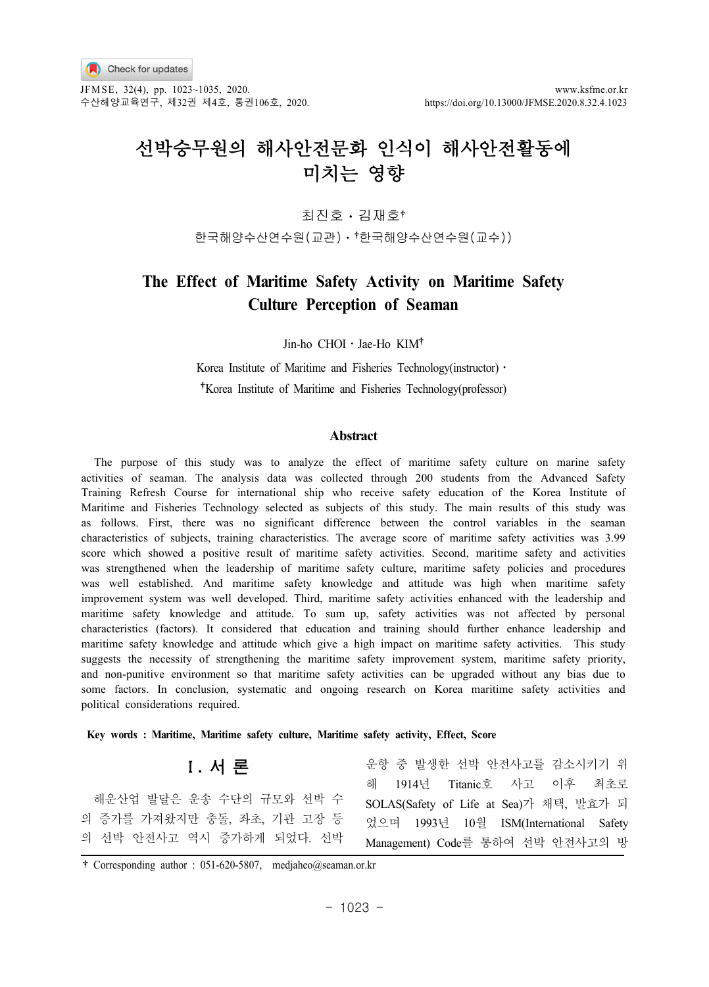

JFM SE, 32(4), pp. 1023~1035, 2020. www.ksfme.or.kr 수산해양교육연구, 제32권 제4호, 통권106호, 2020. https://doi.org/10.13000/JFMSE.2020.8.32.4.1023

# 선박승무원의 해사안전문화 인식이 해사안전활동에 미치는 영향

최진호 김재호

한국해양수산연수원(교관)ㆍ 한국해양수산연수원(교수))

# **The Effect of Maritime Safety Activity on Maritime Safety Culture Perception of Seaman**

Jin-ho CHOI · Jae-Ho KIM<sup>+</sup>

Korea Institute of Maritime and Fisheries Technology(instructor) • Korea Institute of Maritime and Fisheries Technology(professor)

### **Abstract**

The purpose of this study was to analyze the effect of maritime safety culture on marine safety activities of seaman. The analysis data was collected through 200 students from the Advanced Safety Training Refresh Course for international ship who receive safety education of the Korea Institute of Maritime and Fisheries Technology selected as subjects of this study. The main results of this study was as follows. First, there was no significant difference between the control variables in the seaman characteristics of subjects, training characteristics. The average score of maritime safety activities was 3.99 score which showed a positive result of maritime safety activities. Second, maritime safety and activities was strengthened when the leadership of maritime safety culture, maritime safety policies and procedures was well established. And maritime safety knowledge and attitude was high when maritime safety improvement system was well developed. Third, maritime safety activities enhanced with the leadership and maritime safety knowledge and attitude. To sum up, safety activities was not affected by personal characteristics (factors). It considered that education and training should further enhance leadership and maritime safety knowledge and attitude which give a high impact on maritime safety activities. This study suggests the necessity of strengthening the maritime safety improvement system, maritime safety priority, and non-punitive environment so that maritime safety activities can be upgraded without any bias due to some factors. In conclusion, systematic and ongoing research on Korea maritime safety activities and political considerations required.

**Key words : Maritime, Maritime safety culture, Maritime safety activity, Effect, Score**

# Ⅰ**.** 서 론

해운산업 발달은 운송 수단의 규모와 선박 수 의 증가를 가져왔지만 충돌, 좌초, 기관 고장 등 의 선박 안전사고 역시 증가하게 되었다. 선박

운항 중 발생한 선박 안전사고를 감소시키기 위 해 1914년 Titanic호 사고 이후 최초로 SOLAS(Safety of Life at Sea)가 채택, 발효가 되 었으며 1993년 10월 ISM(International Safety Management) Code를 통하여 선박 안전사고의 방

Corresponding author : 051-620-5807, medjaheo@seaman.or.kr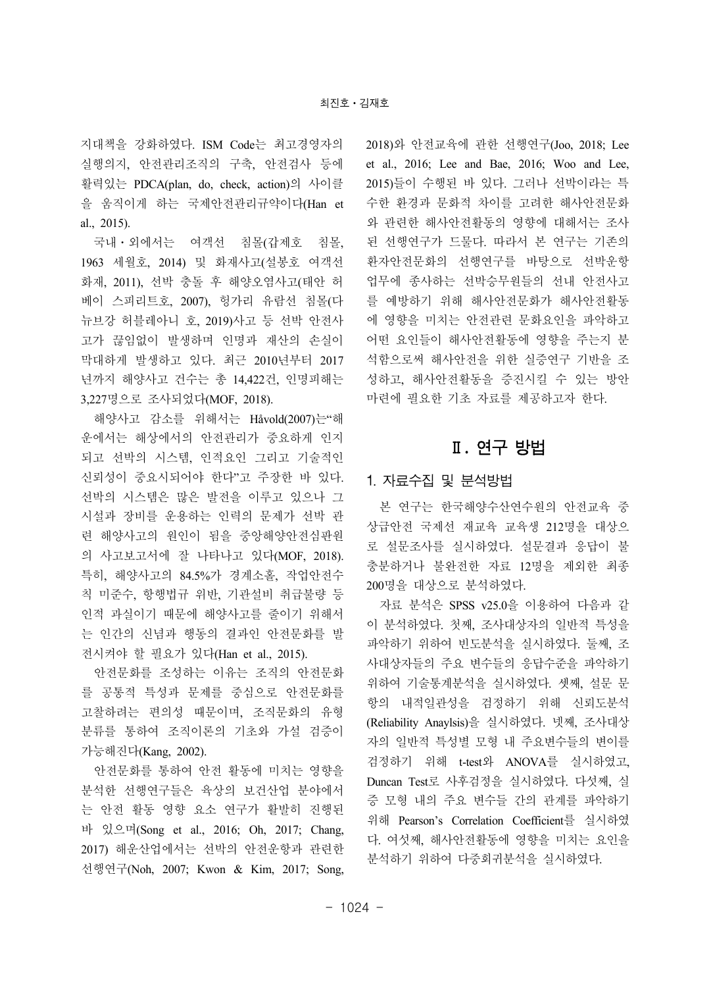지대책을 강화하였다. ISM Code는 최고경영자의 실행의지, 안전관리조직의 구축, 안전검사 등에 활력있는 PDCA(plan, do, check, action)의 사이클 을 움직이게 하는 국제안전관리규약이다(Han et al., 2015).

국내ㆍ외에서는 여객선 침몰(갑제호 침몰, 1963 세월호, 2014) 및 화재사고(설봉호 여객선 화재, 2011), 선박 충돌 후 해양오염사고(태안 허 베이 스피리트호, 2007), 헝가리 유람선 침몰(다 뉴브강 허블레아니 호, 2019)사고 등 선박 안전사 고가 끊임없이 발생하며 인명과 재산의 손실이 막대하게 발생하고 있다. 최근 2010년부터 2017 년까지 해양사고 건수는 총 14,422건, 인명피해는 3,227명으로 조사되었다(MOF, 2018).

해양사고 감소를 위해서는 Håvold(2007)는"해 운에서는 해상에서의 안전관리가 중요하게 인지 되고 선박의 시스템, 인적요인 그리고 기술적인 신뢰성이 중요시되어야 한다"고 주장한 바 있다. 선박의 시스템은 많은 발전을 이루고 있으나 그 시설과 장비를 운용하는 인력의 문제가 선박 관 련 해양사고의 원인이 됨을 중앙해양안전심판원 의 사고보고서에 잘 나타나고 있다(MOF, 2018). 특히, 해양사고의 84.5%가 경계소홀, 작업안전수 칙 미준수, 항행법규 위반, 기관설비 취급불량 등 인적 과실이기 때문에 해양사고를 줄이기 위해서 는 인간의 신념과 행동의 결과인 안전문화를 발 전시켜야 할 필요가 있다(Han et al., 2015).

안전문화를 조성하는 이유는 조직의 안전문화 를 공통적 특성과 문제를 중심으로 안전문화를 고찰하려는 편의성 때문이며, 조직문화의 유형 분류를 통하여 조직이론의 기초와 가설 검증이 가능해진다(Kang, 2002).

안전문화를 통하여 안전 활동에 미치는 영향을 분석한 선행연구들은 육상의 보건산업 분야에서 는 안전 활동 영향 요소 연구가 활발히 진행된 바 있으며(Song et al., 2016; Oh, 2017; Chang, 2017) 해운산업에서는 선박의 안전운항과 관련한 선행연구(Noh, 2007; Kwon & Kim, 2017; Song, 2018)와 안전교육에 관한 선행연구(Joo, 2018; Lee et al., 2016; Lee and Bae, 2016; Woo and Lee, 2015)들이 수행된 바 있다. 그러나 선박이라는 특 수한 환경과 문화적 차이를 고려한 해사안전문화 와 관련한 해사안전활동의 영향에 대해서는 조사 된 선행연구가 드물다. 따라서 본 연구는 기존의 환자안전문화의 선행연구를 바탕으로 선박운항 업무에 종사하는 선박승무원들의 선내 안전사고 를 예방하기 위해 해사안전문화가 해사안전활동 에 영향을 미치는 안전관련 문화요인을 파악하고 어떤 요인들이 해사안전활동에 영향을 주는지 분 석함으로써 해사안전을 위한 실증연구 기반을 조 성하고, 해사안전활동을 증진시킬 수 있는 방안 마련에 필요한 기초 자료를 제공하고자 한다.

# Ⅱ**.** 연구 방법

### 1. 자료수집 및 분석방법

본 연구는 한국해양수산연수원의 안전교육 중 상급안전 국제선 재교육 교육생 212명을 대상으 로 설문조사를 실시하였다. 설문결과 응답이 불 충분하거나 불완전한 자료 12명을 제외한 최종 200명을 대상으로 분석하였다.

자료 분석은 SPSS v25.0을 이용하여 다음과 같 이 분석하였다. 첫째, 조사대상자의 일반적 특성을 파악하기 위하여 빈도분석을 실시하였다. 둘째, 조 사대상자들의 주요 변수들의 응답수준을 파악하기 위하여 기술통계분석을 실시하였다. 셋째, 설문 문 항의 내적일관성을 검정하기 위해 신뢰도분석 (Reliability Anaylsis)을 실시하였다. 넷째, 조사대상 자의 일반적 특성별 모형 내 주요변수들의 변이를 검정하기 위해 t-test와 ANOVA를 실시하였고, Duncan Test로 사후검정을 실시하였다. 다섯째, 실 증 모형 내의 주요 변수들 간의 관계를 파악하기 위해 Pearson's Correlation Coefficient를 실시하였 다. 여섯째, 해사안전활동에 영향을 미치는 요인을 분석하기 위하여 다중회귀분석을 실시하였다.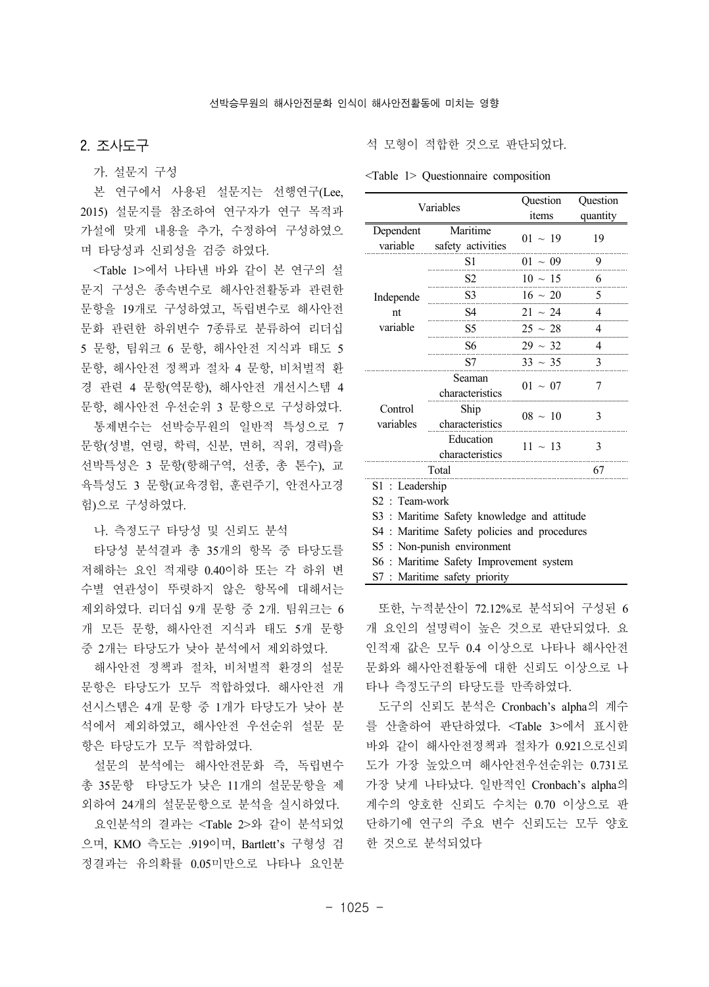### 2. 조사도구

가. 설문지 구성

본 연구에서 사용된 설문지는 선행연구(Lee, 2015) 설문지를 참조하여 연구자가 연구 목적과 가설에 맞게 내용을 추가, 수정하여 구성하였으 며 타당성과 신뢰성을 검증 하였다.

<Table 1>에서 나타낸 바와 같이 본 연구의 설 문지 구성은 종속변수로 해사안전활동과 관련한 문항을 19개로 구성하였고, 독립변수로 해사안전 문화 관련한 하위변수 7종류로 분류하여 리더십 5 문항, 팀워크 6 문항, 해사안전 지식과 태도 5 문항, 해사안전 정책과 절차 4 문항, 비처벌적 환 경 관련 4 문항(역문항), 해사안전 개선시스템 4 문항, 해사안전 우선순위 3 문항으로 구성하였다.

통제변수는 선박승무원의 일반적 특성으로 7 문항(성별, 연령, 학력, 신분, 면허, 직위, 경력)을 선박특성은 3 문항(항해구역, 선종, 총 톤수), 교 육특성도 3 문항(교육경험, 훈련주기, 안전사고경 험)으로 구성하였다.

나. 측정도구 타당성 및 신뢰도 분석

타당성 분석결과 총 35개의 항목 중 타당도를 저해하는 요인 적재량 0.40이하 또는 각 하위 변 수별 연관성이 뚜렷하지 않은 항목에 대해서는 제외하였다. 리더십 9개 문항 중 2개. 팀워크는 6 개 모든 문항, 해사안전 지식과 태도 5개 문항 중 2개는 타당도가 낮아 분석에서 제외하였다.

해사안전 정책과 절차, 비처벌적 환경의 설문 문항은 타당도가 모두 적합하였다. 해사안전 개 선시스템은 4개 문항 중 1개가 타당도가 낮아 분 석에서 제외하였고, 해사안전 우선순위 설문 문 항은 타당도가 모두 적합하였다.

설문의 분석에는 해사안전문화 즉, 독립변수 총 35문항 타당도가 낮은 11개의 설문문항을 제 외하여 24개의 설문문항으로 분석을 실시하였다.

요인분석의 결과는 <Table 2>와 같이 분석되었 으며, KMO 측도는 .919이며, Bartlett's 구형성 검 정결과는 유의확률 0.05미만으로 나타나 요인분

석 모형이 적합한 것으로 판단되었다.

<Table 1> Questionnaire composition

| Variables                                    |                                             | Question     | Question |  |  |  |
|----------------------------------------------|---------------------------------------------|--------------|----------|--|--|--|
|                                              |                                             | items        | quantity |  |  |  |
| Dependent<br>variable                        | Maritime<br>safety activities               | $01 \sim 19$ | 19       |  |  |  |
|                                              | S1                                          | $01 \sim 09$ | 9        |  |  |  |
|                                              | S2                                          | $10 \sim 15$ | 6        |  |  |  |
| Independe                                    | S <sub>3</sub>                              | $16 \sim 20$ | 5        |  |  |  |
| nt                                           | S4                                          | $21 \sim 24$ | 4        |  |  |  |
| variable                                     | S <sub>5</sub>                              | $25 \sim 28$ | 4        |  |  |  |
|                                              | S6                                          | $29 \sim 32$ | 4        |  |  |  |
|                                              | S7                                          | $33 \sim 35$ | 3        |  |  |  |
|                                              | Seaman<br>characteristics                   | $01 \sim 07$ | 7        |  |  |  |
| Control<br>variables                         | Ship<br>characteristics                     | $08 \sim 10$ | 3        |  |  |  |
|                                              | Education<br>characteristics                | $11 \sim 13$ | 3        |  |  |  |
|                                              | Total                                       |              | 67       |  |  |  |
| $S1$ : Leadership                            |                                             |              |          |  |  |  |
| $S2$ : Team-work                             |                                             |              |          |  |  |  |
|                                              | S3 : Maritime Safety knowledge and attitude |              |          |  |  |  |
| S4 : Maritime Safety policies and procedures |                                             |              |          |  |  |  |
| S5 : Non-punish environment                  |                                             |              |          |  |  |  |
|                                              | S6 : Maritime Safety Improvement system     |              |          |  |  |  |
|                                              | S7 : Maritime safety priority               |              |          |  |  |  |

또한, 누적분산이 72.12%로 분석되어 구성된 6 개 요인의 설명력이 높은 것으로 판단되었다. 요 인적재 값은 모두 0.4 이상으로 나타나 해사안전 문화와 해사안전활동에 대한 신뢰도 이상으로 나 타나 측정도구의 타당도를 만족하였다.

도구의 신뢰도 분석은 Cronbach's alpha의 계수 를 산출하여 판단하였다. <Table 3>에서 표시한 바와 같이 해사안전정책과 절차가 0.921으로신뢰 도가 가장 높았으며 해사안전우선순위는 0.731로 가장 낮게 나타났다. 일반적인 Cronbach's alpha의 계수의 양호한 신뢰도 수치는 0.70 이상으로 판 단하기에 연구의 주요 변수 신뢰도는 모두 양호 한 것으로 분석되었다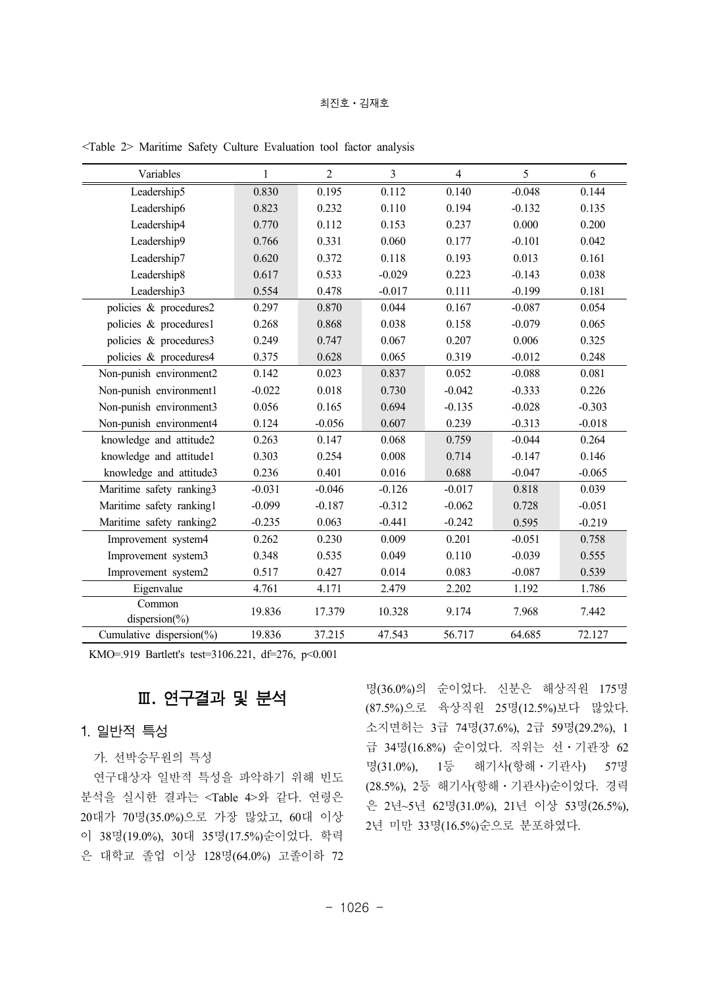#### 최진호 · 김재호

| Variables                    | 1        | $\overline{2}$ | $\overline{3}$ | $\overline{4}$ | 5        | 6        |
|------------------------------|----------|----------------|----------------|----------------|----------|----------|
| Leadership5                  | 0.830    | 0.195          | 0.112          | 0.140          | $-0.048$ | 0.144    |
| Leadership6                  | 0.823    | 0.232          | 0.110          | 0.194          | $-0.132$ | 0.135    |
| Leadership4                  | 0.770    | 0.112          | 0.153          | 0.237          | 0.000    | 0.200    |
| Leadership9                  | 0.766    | 0.331          | 0.060          | 0.177          | $-0.101$ | 0.042    |
| Leadership7                  | 0.620    | 0.372          | 0.118          | 0.193          | 0.013    | 0.161    |
| Leadership8                  | 0.617    | 0.533          | $-0.029$       | 0.223          | $-0.143$ | 0.038    |
| Leadership3                  | 0.554    | 0.478          | $-0.017$       | 0.111          | $-0.199$ | 0.181    |
| policies & procedures2       | 0.297    | 0.870          | 0.044          | 0.167          | $-0.087$ | 0.054    |
| policies & procedures1       | 0.268    | 0.868          | 0.038          | 0.158          | $-0.079$ | 0.065    |
| policies & procedures3       | 0.249    | 0.747          | 0.067          | 0.207          | 0.006    | 0.325    |
| policies & procedures4       | 0.375    | 0.628          | 0.065          | 0.319          | $-0.012$ | 0.248    |
| Non-punish environment2      | 0.142    | 0.023          | 0.837          | 0.052          | $-0.088$ | 0.081    |
| Non-punish environment1      | $-0.022$ | 0.018          | 0.730          | $-0.042$       | $-0.333$ | 0.226    |
| Non-punish environment3      | 0.056    | 0.165          | 0.694          | $-0.135$       | $-0.028$ | $-0.303$ |
| Non-punish environment4      | 0.124    | $-0.056$       | 0.607          | 0.239          | $-0.313$ | $-0.018$ |
| knowledge and attitude2      | 0.263    | 0.147          | 0.068          | 0.759          | $-0.044$ | 0.264    |
| knowledge and attitude1      | 0.303    | 0.254          | 0.008          | 0.714          | $-0.147$ | 0.146    |
| knowledge and attitude3      | 0.236    | 0.401          | 0.016          | 0.688          | $-0.047$ | $-0.065$ |
| Maritime safety ranking3     | $-0.031$ | $-0.046$       | $-0.126$       | $-0.017$       | 0.818    | 0.039    |
| Maritime safety ranking1     | $-0.099$ | $-0.187$       | $-0.312$       | $-0.062$       | 0.728    | $-0.051$ |
| Maritime safety ranking2     | $-0.235$ | 0.063          | $-0.441$       | $-0.242$       | 0.595    | $-0.219$ |
| Improvement system4          | 0.262    | 0.230          | 0.009          | 0.201          | $-0.051$ | 0.758    |
| Improvement system3          | 0.348    | 0.535          | 0.049          | 0.110          | $-0.039$ | 0.555    |
| Improvement system2          | 0.517    | 0.427          | 0.014          | 0.083          | $-0.087$ | 0.539    |
| Eigenvalue                   | 4.761    | 4.171          | 2.479          | 2.202          | 1.192    | 1.786    |
| Common<br>dispersion $(\% )$ | 19.836   | 17.379         | 10.328         | 9.174          | 7.968    | 7.442    |
| Cumulative dispersion(%)     | 19.836   | 37.215         | 47.543         | 56.717         | 64.685   | 72.127   |

<Table 2> Maritime Safety Culture Evaluation tool factor analysis

KMO=.919 Bartlett's test=3106.221, df=276, p<0.001

# Ⅲ**.** 연구결과 및 분석

### 1. 일반적 특성

가. 선박승무원의 특성

연구대상자 일반적 특성을 파악하기 위해 빈도 분석을 실시한 결과는 <Table 4>와 같다. 연령은 20대가 70명(35.0%)으로 가장 많았고, 60대 이상 이 38명(19.0%), 30대 35명(17.5%)순이었다. 학력 은 대학교 졸업 이상 128명(64.0%) 고졸이하 72

명(36.0%)의 순이었다. 신분은 해상직원 175명 (87.5%)으로 육상직원 25명(12.5%)보다 많았다. 소지면허는 3급 74명(37.6%), 2급 59명(29.2%), 1 급 34명(16.8%) 순이었다. 직위는 선ㆍ기관장 62 명(31.0%), 1등 해기사(항해ㆍ기관사) 57명 (28.5%), 2등 해기사(항해ㆍ기관사)순이었다. 경력 은 2년~5년 62명(31.0%), 21년 이상 53명(26.5%), 2년 미만 33명(16.5%)순으로 분포하였다.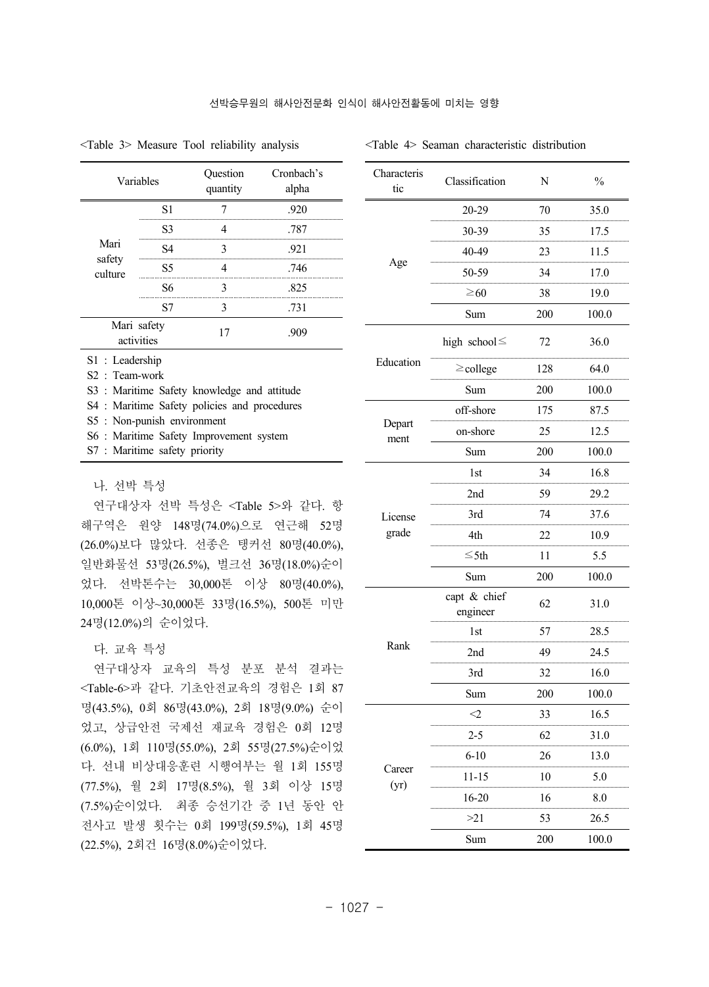Characteris

| Variables                 |                  | Question<br>quantity | Cronbach's<br>alpha |
|---------------------------|------------------|----------------------|---------------------|
|                           | <b>S1</b>        |                      | .920                |
|                           | S3               |                      | .787                |
| Mari                      | S4               | 3                    | .921                |
| safety<br>culture         | S <sub>5</sub>   |                      | .746                |
|                           | S6               | 3                    | .825                |
|                           | S7               | 3                    | .731                |
| Mari safety<br>activities |                  | 17                   | -909                |
| $S1$ : Leadership         |                  |                      |                     |
|                           | $S2$ : Team-work |                      |                     |

<Table 3> Measure Tool reliability analysis

<Table 4> Seaman characteristic distribution

| Characteris<br>tic | Classification           | N   | $\%$  |
|--------------------|--------------------------|-----|-------|
|                    | 20-29                    | 70  | 35.0  |
|                    | 30-39                    | 35  | 17.5  |
|                    | 40-49                    | 23  | 11.5  |
| Age                | 50-59                    | 34  | 17.0  |
|                    | $\geq 60$                | 38  | 19.0  |
|                    | Sum                      | 200 | 100.0 |
|                    | high school $\leq$       | 72  | 36.0  |
| Education          | $\geq$ college           | 128 | 64.0  |
|                    | Sum                      | 200 | 100.0 |
|                    | off-shore                | 175 | 87.5  |
| Depart<br>ment     | on-shore                 | 25  | 12.5  |
|                    | Sum                      | 200 | 100.0 |
|                    | 1st                      | 34  | 16.8  |
|                    | 2nd                      | 59  | 29.2  |
| License            | 3rd                      | 74  | 37.6  |
| grade              | 4th                      | 22  | 10.9  |
|                    | ≤5th                     | 11  | 5.5   |
|                    | Sum                      | 200 | 100.0 |
|                    | capt & chief<br>engineer | 62  | 31.0  |
|                    | 1st                      | 57  | 28.5  |
| Rank               | 2nd                      | 49  | 24.5  |
|                    | 3rd                      | 32  | 16.0  |
|                    | Sum                      | 200 | 100.0 |
|                    | ${<}2$                   | 33  | 16.5  |
|                    | 2-5                      | 62  | 31.0  |
|                    | $6 - 10$                 | 26  | 13.0  |
| Career<br>(yr)     | 11-15                    | 10  | 5.0   |
|                    | 16-20                    | 16  | 8.0   |
|                    | >21                      | 53  | 26.5  |
|                    | Sum                      | 200 | 100.0 |

# S4 : Maritime Safety policies and procedures

S5 : Non-punish environment

S3 : Maritime Safety knowledge and attitude

#### 나. 선박 특성

연구대상자 선박 특성은 <Table 5>와 같다. 항 해구역은 원양 148명(74.0%)으로 연근해 52명 (26.0%)보다 많았다. 선종은 탱커선 80명(40.0%), 일반화물선 53명(26.5%), 벌크선 36명(18.0%)순이 었다. 선박톤수는 30,000톤 이상 80명(40.0%), 10,000톤 이상~30,000톤 33명(16.5%), 500톤 미만 24명(12.0%)의 순이었다.

#### 다. 교육 특성

연구대상자 교육의 특성 분포 분석 결과는 <Table-6>과 같다. 기초안전교육의 경험은 1회 87 명(43.5%), 0회 86명(43.0%), 2회 18명(9.0%) 순이 었고, 상급안전 국제선 재교육 경험은 0회 12명 (6.0%), 1회 110명(55.0%), 2회 55명(27.5%)순이었 다. 선내 비상대응훈련 시행여부는 월 1회 155명 (77.5%), 월 2회 17명(8.5%), 월 3회 이상 15명 (7.5%)순이었다. 최종 승선기간 중 1년 동안 안 전사고 발생 횟수는 0회 199명(59.5%), 1회 45명 (22.5%), 2회건 16명(8.0%)순이었다.

S6 : Maritime Safety Improvement system

S7 : Maritime safety priority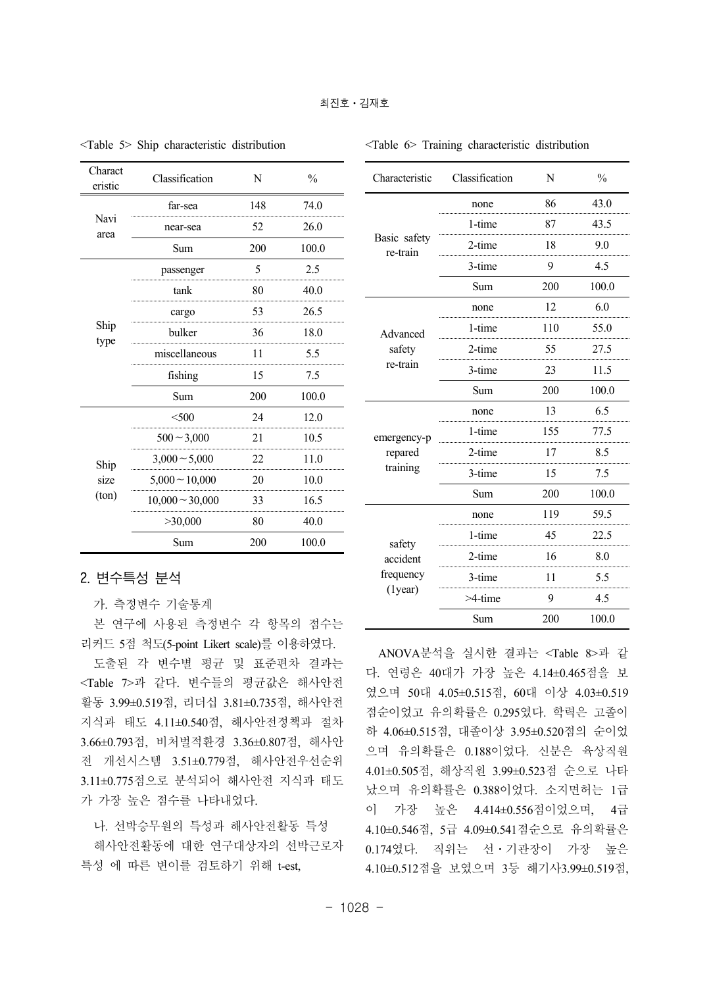| Charact<br>eristic | Classification       | N   | $\%$  |
|--------------------|----------------------|-----|-------|
|                    | far-sea              | 148 | 74.0  |
| Navi<br>area       | near-sea             | 52  | 26.0  |
|                    | Sum                  | 200 | 100.0 |
|                    | passenger            | 5   | 2.5   |
|                    | tank                 | 80  | 40.0  |
|                    | cargo                | 53  | 26.5  |
| Ship<br>type       | bulker               | 36  | 18.0  |
|                    | miscellaneous        | 11  | 5.5   |
|                    | fishing              | 15  | 7.5   |
|                    | Sum                  | 200 | 100.0 |
|                    | $<$ 500              | 24  | 12.0  |
|                    | $500 - 3,000$        | 21  | 10.5  |
| Ship               | $3,000 \sim 5,000$   | 22  | 11.0  |
| size               | $5,000 - 10,000$     | 20  | 10.0  |
| $(\text{ton})$     | $10,000 \sim 30,000$ | 33  | 16.5  |
|                    | >30,000              | 80  | 40.0  |
|                    | Sum                  | 200 | 100.0 |

<Table 5> Ship characteristic distribution

#### <Table 6> Training characteristic distribution

| Characteristic           | Classification | N   | $\frac{0}{0}$ |
|--------------------------|----------------|-----|---------------|
|                          | none           | 86  | 43.0          |
|                          | 1-time         | 87  | 43.5          |
| Basic safety<br>re-train | 2-time         | 18  | 9.0           |
|                          | 3-time         | 9   | 4.5           |
|                          | Sum            | 200 | 100.0         |
|                          | none           | 12  | 6.0           |
| Advanced                 | 1-time         | 110 | 55.0          |
| safety<br>re-train       | 2-time         | 55  | 27.5          |
|                          | 3-time         | 23  | 11.5          |
|                          | Sum            | 200 | 100.0         |
|                          | none           | 13  | 6.5           |
| emergency-p              | 1-time         | 155 | 77.5          |
| repared                  | 2-time         | 17  | 8.5           |
| training                 | 3-time         | 15  | 7.5           |
|                          | Sum            | 200 | 100.0         |
|                          | none           | 119 | 59.5          |
| safety                   | 1-time         | 45  | 22.5          |
| accident                 | 2-time         | 16  | 8.0           |
| frequency                | 3-time         | 11  | 5.5           |
| $(1)$ year $)$           | $>4$ -time     | 9   | 4.5           |
|                          | Sum            | 200 | 100.0         |

### 2. 변수특성 분석

가. 측정변수 기술통계

본 연구에 사용된 측정변수 각 항목의 점수는 리커드 5점 척도(5-point Likert scale)를 이용하였다.

도출된 각 변수별 평균 및 표준편차 결과는 <Table 7>과 같다. 변수들의 평균값은 해사안전 활동 3.99±0.519점, 리더십 3.81±0.735점, 해사안전 지식과 태도 4.11±0.540점, 해사안전정책과 절차 3.66±0.793점, 비처벌적환경 3.36±0.807점, 해사안 전 개선시스템 3.51±0.779점, 해사안전우선순위 3.11±0.775점으로 분석되어 해사안전 지식과 태도 가 가장 높은 점수를 나타내었다.

나. 선박승무원의 특성과 해사안전활동 특성 해사안전활동에 대한 연구대상자의 선박근로자 특성 에 따른 변이를 검토하기 위해 t-est,

ANOVA분석을 실시한 결과는 <Table 8>과 같 다. 연령은 40대가 가장 높은 4.14±0.465점을 보 였으며 50대 4.05±0.515점, 60대 이상 4.03±0.519 점순이었고 유의확률은 0.295였다. 학력은 고졸이 하 4.06±0.515점, 대졸이상 3.95±0.520점의 순이었 으며 유의확률은 0.188이었다. 신분은 육상직원 4.01±0.505점, 해상직원 3.99±0.523점 순으로 나타 났으며 유의확률은 0.388이었다. 소지면허는 1급 이 가장 높은 4.414±0.556점이었으며, 4급 4.10±0.546점, 5급 4.09±0.541점순으로 유의확률은 0.174였다. 직위는 선ㆍ기관장이 가장 높은 4.10±0.512점을 보였으며 3등 해기사3.99±0.519점,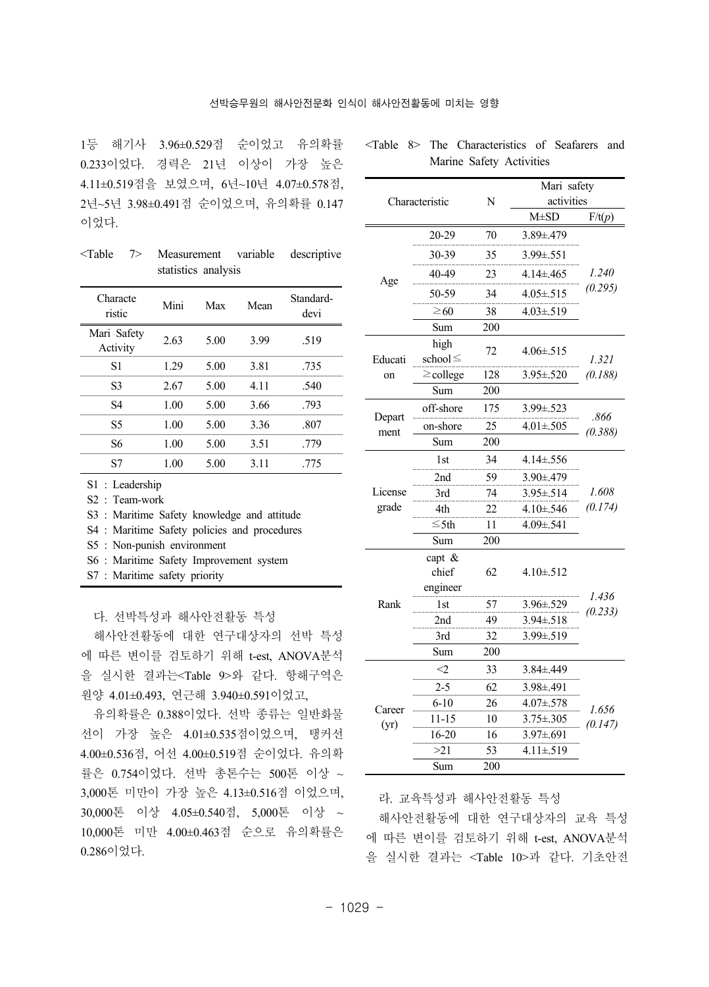1등 해기사 3.96±0.529점 순이었고 유의확률 0.233이었다. 경력은 21년 이상이 가장 높은 4.11±0.519점을 보였으며, 6년~10년 4.07±0.578점, 2년~5년 3.98±0.491점 순이었으며, 유의확률 0.147 이었다.

<Table 7> Measurement variable descriptive statistics analysis

| Characte<br>ristic      | Mini   | Max  | Mean  | Standard-<br>devi |
|-------------------------|--------|------|-------|-------------------|
| Mari Safety<br>Activity | 2.63   | 5.00 | 3.99  | .519              |
| S1                      | 1.29   | 5.00 | 3.81  | .735              |
| S3                      | 2.67   | 5.00 | 4 1 1 | -540              |
| S4                      | 1.00   | 5.00 | 3.66  | -793              |
| S5                      | 1.00   | 5.00 | 3.36  | -807              |
| S6                      | 1 00   | 5.00 | 3.51  | 779               |
|                         | l ()() | 5.00 | 3 1 1 | 775               |

S1 : Leadership

S2 : Team-work

|  |  |  |  | S3 : Maritime Safety knowledge and attitude |  |  |
|--|--|--|--|---------------------------------------------|--|--|
|--|--|--|--|---------------------------------------------|--|--|

S4 : Maritime Safety policies and procedures

S5 : Non-punish environment

- S6 : Maritime Safety Improvement system
- S7 : Maritime safety priority

다. 선박특성과 해사안전활동 특성

해사안전활동에 대한 연구대상자의 선박 특성 에 따른 변이를 검토하기 위해 t-est, ANOVA분석 을 실시한 결과는<Table 9>와 같다. 항해구역은 원양 4.01±0.493, 연근해 3.940±0.591이었고,

유의확률은 0.388이었다. 선박 종류는 일반화물 선이 가장 높은 4.01±0.535점이었으며, 탱커선 4.00±0.536점, 어선 4.00±0.519점 순이었다. 유의확 률은 0.754이었다. 선박 총톤수는 500톤 이상 ~ 3,000톤 미만이 가장 높은 4.13±0.516점 이었으며, 30,000톤 이상 4.05±0.540점, 5,000톤 이상 ~ 10,000톤 미만 4.00±0.463점 순으로 유의확률은 0.286이었다.

|         |                       |     | Mari safety      |         |  |
|---------|-----------------------|-----|------------------|---------|--|
|         | Characteristic        | N   | activities       |         |  |
|         |                       |     | $M \pm SD$       | F/t(p)  |  |
|         | 20-29                 | 70  | 3.89±.479        |         |  |
|         | 30-39                 | 35  | 3.99±.551        |         |  |
| Age     | 40-49                 | 23  | 4 14± 465        | 1.240   |  |
|         | 50-59                 | 34  | 4.05±.515        | (0.295) |  |
|         | $\geq 60$             | 38  | $4.03 \pm .519$  |         |  |
|         | Sum                   | 200 |                  |         |  |
| Educati | high<br>school $\leq$ | 72  | $4.06 \pm 515$   | 1.321   |  |
| on      | $\geq$ college        | 128 | $3.95 \pm 0.520$ | (0.188) |  |
|         | Sum                   | 200 |                  |         |  |
| Depart  | off-shore             | 175 | 3.99±.523        | .866    |  |
| ment    | on-shore              | 25  | $4.01 \pm 0.505$ | (0.388) |  |
|         | Sum                   | 200 |                  |         |  |
|         | 1st                   | 34  | $4.14 \pm 0.556$ |         |  |
|         | 2nd                   | 59  | 3.90±.479        |         |  |
| License | 3rd                   | 74  | $3.95 \pm .514$  | 1.608   |  |
| grade   | 4th                   | 22  | $4.10 \pm 0.546$ | (0.174) |  |
|         | $\leq$ 5th            | 11  | 4.09±.541        |         |  |
|         | Sum                   | 200 |                  |         |  |
|         | capt $\&$             |     |                  |         |  |
|         | chief                 | 62  | $4.10 \pm .512$  |         |  |
|         | engineer              |     |                  | 1.436   |  |
| Rank    | 1st                   | 57  | 3.96±.529        | (0.233) |  |
|         | 2nd                   | 49  | $3.94 \pm .518$  |         |  |
|         | 3rd                   | 32  | 3.99±.519        |         |  |
|         | Sum                   | 200 |                  |         |  |
|         | <2                    | 33  | $3.84 \pm 0.449$ |         |  |
|         | 2-5                   | 62  | 3.98±.491        |         |  |
| Career  | 6-10                  | 26  | 4.07±.578        | 1.656   |  |
| (yr)    | 11-15                 | 10  | $3.75 \pm .305$  | (0.147) |  |
|         | 16-20                 | 16  | 3.97±.691        |         |  |
|         | >21                   | 53  | $4.11 \pm 0.519$ |         |  |
|         | Sum                   | 200 |                  |         |  |

<Table 8> The Characteristics of Seafarers and Marine Safety Activities

라. 교육특성과 해사안전활동 특성

해사안전활동에 대한 연구대상자의 교육 특성 에 따른 변이를 검토하기 위해 t-est, ANOVA분석 을 실시한 결과는 <Table 10>과 같다. 기초안전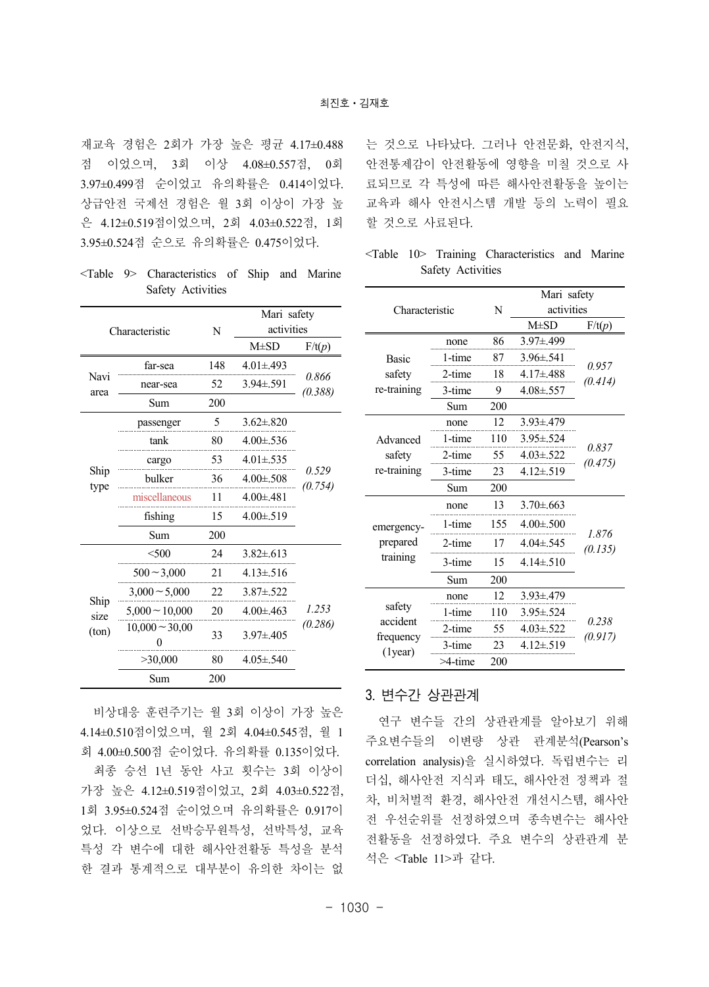재교육 경험은 2회가 가장 높은 평균 4.17±0.488 점 이었으며, 3회 이상 4.08±0.557점, 0회 3.97±0.499점 순이었고 유의확률은 0.414이었다. 상급안전 국제선 경험은 월 3회 이상이 가장 높 은 4.12±0.519점이었으며, 2회 4.03±0.522점, 1회 3.95±0.524점 순으로 유의확률은 0.475이었다.

<Table 9> Characteristics of Ship and Marine Safety Activities

|              |                     |     | Mari safety      |                  |  |
|--------------|---------------------|-----|------------------|------------------|--|
|              | Characteristic      | N   | activities       |                  |  |
|              |                     |     | $M\pm SD$        | F/t(p)           |  |
|              | far-sea             | 148 | $4.01 \pm 0.493$ |                  |  |
| Navi<br>area | near-sea            | 52  | $3.94 \pm 0.591$ | 0.866<br>(0.388) |  |
|              | Sum                 | 200 |                  |                  |  |
|              | passenger           | 5   | $3.62 \pm .820$  |                  |  |
|              | tank                | 80  | $4.00 \pm 0.536$ |                  |  |
|              | cargo               | 53  | $4.01 \pm .535$  |                  |  |
| Ship<br>type | bulker              | 36  | $4.00 \pm 508$   | 0.529<br>(0.754) |  |
|              | miscellaneous       | 11  | $4.00 \pm 481$   |                  |  |
|              | fishing             | 15  | $4.00 \pm 0.519$ |                  |  |
|              | Sum                 | 200 |                  |                  |  |
|              | < 500               | 24  | $3.82 \pm 613$   |                  |  |
|              | $500 - 3,000$       | 21  | $4.13 \pm 516$   |                  |  |
|              | $3,000 \sim 5,000$  | 22  | $3.87 \pm .522$  |                  |  |
| Ship<br>size | $5,000 \sim 10,000$ | 20  | $4.00 \pm 0.463$ | 1.253            |  |
| (ton)        | $10,000 \sim 30,00$ | 33  | $3.97 \pm 405$   | (0.286)          |  |
|              | >30,000             | 80  | $4.05 \pm 0.540$ |                  |  |
|              | Sum                 | 200 |                  |                  |  |

비상대응 훈련주기는 월 3회 이상이 가장 높은 4.14±0.510점이었으며, 월 2회 4.04±0.545점, 월 1 회 4.00±0.500점 순이었다. 유의확률 0.135이었다.

최종 승선 1년 동안 사고 횟수는 3회 이상이 가장 높은 4.12±0.519점이었고, 2회 4.03±0.522점, 1회 3.95±0.524점 순이었으며 유의확률은 0.917이 었다. 이상으로 선박승무원특성, 선박특성, 교육 특성 각 변수에 대한 해사안전활동 특성을 분석 한 결과 통계적으로 대부분이 유의한 차이는 없 는 것으로 나타났다. 그러나 안전문화, 안전지식, 안전통제감이 안전활동에 영향을 미칠 것으로 사 료되므로 각 특성에 따른 해사안전활동을 높이는 교육과 해사 안전시스템 개발 등의 노력이 필요 할 것으로 사료된다.

<Table 10> Training Characteristics and Marine Safety Activities

|                             |            |     | Mari safety      |                  |  |
|-----------------------------|------------|-----|------------------|------------------|--|
| Characteristic              |            | N   | activities       |                  |  |
|                             |            |     | $M\pm SD$        | F/t(p)           |  |
|                             | none       | 86  | 3.97±.499        |                  |  |
| <b>Basic</b>                | 1-time     | 87  | $3.96 \pm 0.541$ |                  |  |
| safety                      | 2-time     | 18  | $4.17 \pm 488$   | 0.957            |  |
| re-training                 | 3-time     | 9   | $4.08 \pm 0.557$ | (0.414)          |  |
|                             | Sum        | 200 |                  |                  |  |
|                             | none       | 12  | $3.93 \pm 0.479$ |                  |  |
| Advanced                    | 1-time     | 110 | $3.95 \pm 0.524$ |                  |  |
| safety                      | 2-time     | 55  | $4.03 \pm 0.522$ | 0.837            |  |
| re-training                 | 3-time     | 23  | $4.12 \pm 0.519$ | (0.475)          |  |
|                             | Sum        | 200 |                  |                  |  |
|                             | none       | 13  | $3.70 \pm 0.663$ |                  |  |
| emergency-                  | 1-time     | 155 | $4.00 \pm 500$   |                  |  |
| prepared                    | 2-time     | 17  | $4.04 \pm 0.545$ | 1.876<br>(0.135) |  |
| training                    | 3-time     | 15  | $4.14 \pm 0.510$ |                  |  |
|                             | Sum        | 200 |                  |                  |  |
|                             | none       | 12  | $3.93 \pm 479$   |                  |  |
| safety                      | 1-time     | 110 | $3.95 \pm 0.524$ |                  |  |
| accident                    | $2$ -time  | 55  | $4.03 \pm .522$  | 0.238            |  |
| frequency<br>$(1)$ year $)$ | 3-time     | 23  | $4.12 \pm .519$  | (0.917)          |  |
|                             | $>4$ -time | 200 |                  |                  |  |

# 3. 변수간 상관관계

연구 변수들 간의 상관관계를 알아보기 위해 주요변수들의 이변량 상관 관계분석(Pearson's correlation analysis)을 실시하였다. 독립변수는 리 더십, 해사안전 지식과 태도, 해사안전 정책과 절 차, 비처벌적 환경, 해사안전 개선시스템, 해사안 전 우선순위를 선정하였으며 종속변수는 해사안 전활동을 선정하였다. 주요 변수의 상관관계 분 석은 <Table 11>과 같다.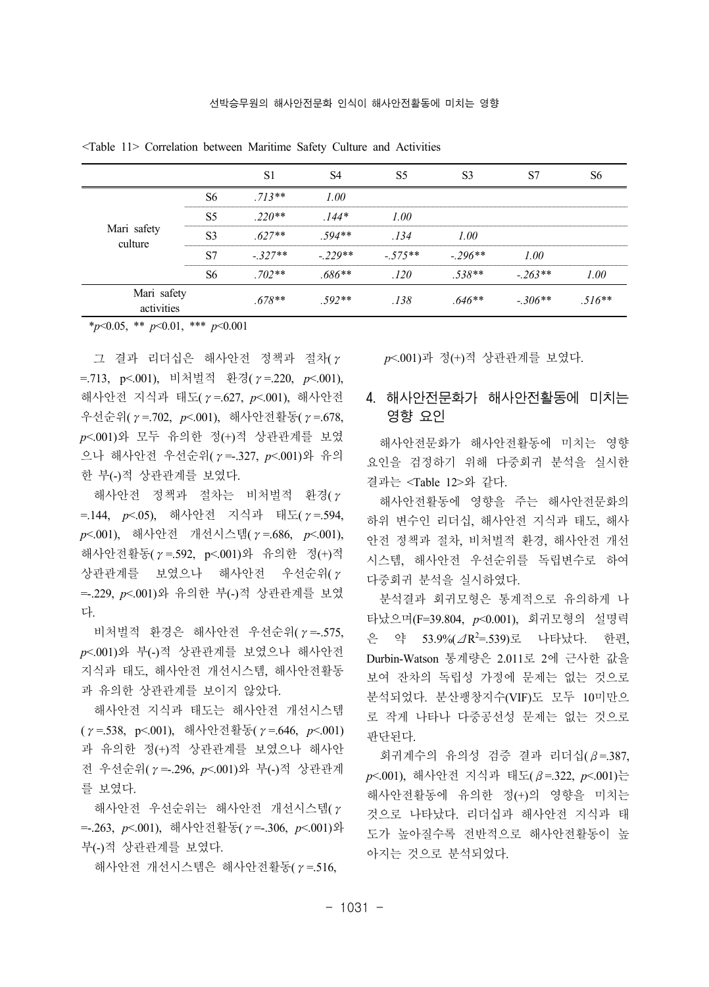|                        | $713**$  |          |          |          |          |  |
|------------------------|----------|----------|----------|----------|----------|--|
|                        | $220**$  |          | חח י     |          |          |  |
| Mari safety<br>culture | **       | $591**$  |          | -00      |          |  |
|                        | $-327**$ | $-229**$ | $-575**$ | $-296**$ | וווו י   |  |
|                        | $702**$  | h)       |          | 538**    | $-263**$ |  |
| Mari safety            | 678**    | 502**    |          | 646**    | - 306**  |  |

<Table 11> Correlation between Maritime Safety Culture and Activities

\**p*<0.05, \*\* *p*<0.01, \*\*\* *p*<0.001

그 결과 리더십은 해사안전 정책과 절차(γ =.713, p<.001), 비처벌적 환경(γ=.220, *p*<.001), 해사안전 지식과 태도(γ=.627, *p*<.001), 해사안전 우선순위(γ=.702, *p*<.001), 해사안전활동(γ=.678, *p*<.001)와 모두 유의한 정(+)적 상관관계를 보였 으나 해사안전 우선순위(γ=-.327, *p*<.001)와 유의 한 부(-)적 상관관계를 보였다.

해사안전 정책과 절차는 비처벌적 환경(γ =.144, *p*<.05), 해사안전 지식과 태도(γ=.594, *p*<.001), 해사안전 개선시스템(γ=.686, *p*<.001), 해사안전활동(γ=.592, p<.001)와 유의한 정(+)적  $\forall$ 관관계를 보였으나 해사안전 우선순위 $(\gamma$ =-.229, *p*<.001)와 유의한 부(-)적 상관관계를 보였 다.

비처벌적 환경은 해사안전 우선순위(γ=-.575, *p*<.001)와 부(-)적 상관관계를 보였으나 해사안전 지식과 태도, 해사안전 개선시스템, 해사안전활동 과 유의한 상관관계를 보이지 않았다.

해사안전 지식과 태도는 해사안전 개선시스템 (γ=.538, p<.001), 해사안전활동(γ=.646, *p*<.001) 과 유의한 정(+)적 상관관계를 보였으나 해사안 전 우선순위(γ=-.296, *p*<.001)와 부(-)적 상관관계 를 보였다.

해사안전 우선순위는 해사안전 개선시스템(γ =-.263, *p*<.001), 해사안전활동(γ=-.306, *p*<.001)와 부(-)적 상관관계를 보였다.

해사안전 개선시스템은 해사안전활동(γ=.516,

*p*<.001)과 정(+)적 상관관계를 보였다.

### 4. 해사안전문화가 해사안전활동에 미치는 영향 요인

해사안전문화가 해사안전활동에 미치는 영향 요인을 검정하기 위해 다중회귀 분석을 실시한 결과는 <Table 12>와 같다.

해사안전활동에 영향을 주는 해사안전문화의 하위 변수인 리더십, 해사안전 지식과 태도, 해사 안전 정책과 절차, 비처벌적 환경, 해사안전 개선 시스템, 해사안전 우선순위를 독립변수로 하여 다중회귀 분석을 실시하였다.

분석결과 회귀모형은 통계적으로 유의하게 나 타났으며(F=39.804, *p*<0.001), 회귀모형의 설명력 은 약 53.9%(⊿R<sup>2</sup>=.539)로 나타났다. 한편, Durbin-Watson 통계량은 2.011로 2에 근사한 값을 보여 잔차의 독립성 가정에 문제는 없는 것으로 분석되었다. 분산팽창지수(VIF)도 모두 10미만으 로 작게 나타나 다중공선성 문제는 없는 것으로 판단된다.

회귀계수의 유의성 검증 결과 리더십(β=.387, *p*<.001), 해사안전 지식과 태도(β=.322, *p*<.001)는 해사안전활동에 유의한 정(+)의 영향을 미치는 것으로 나타났다. 리더십과 해사안전 지식과 태 도가 높아질수록 전반적으로 해사안전활동이 높 아지는 것으로 분석되었다.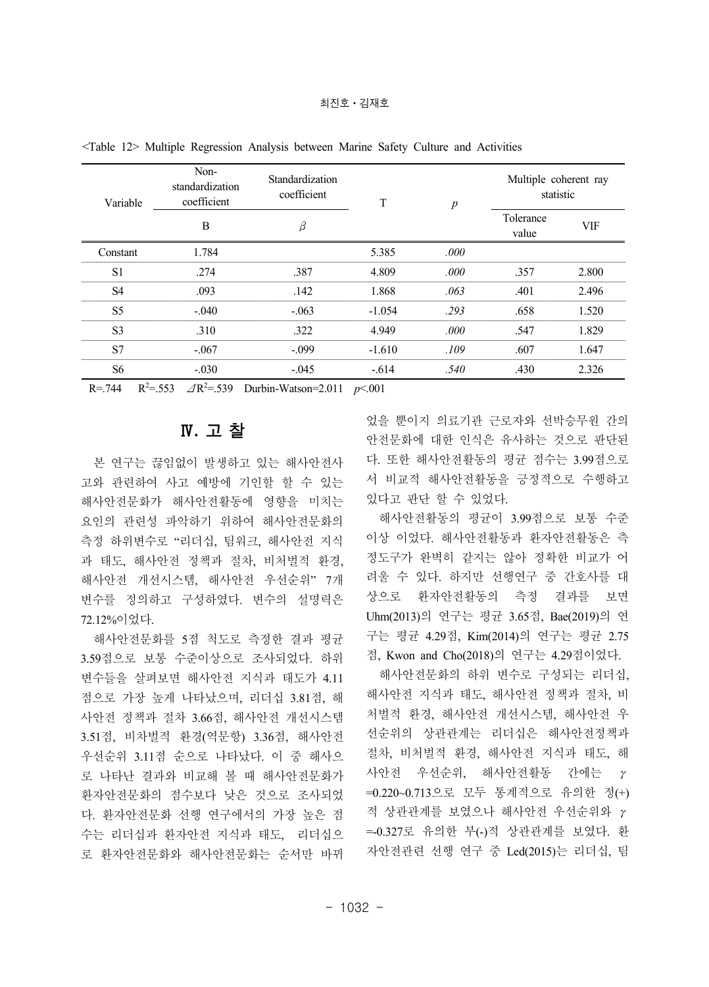| Variable       | Non-<br>standardization<br>coefficient<br>В | Standardization<br>coefficient |          | n     | Multiple coherent ray<br>statistic |       |
|----------------|---------------------------------------------|--------------------------------|----------|-------|------------------------------------|-------|
|                |                                             |                                |          |       | Tolerance<br>value                 | VIF   |
| Constant       | 1 784                                       |                                | 5.385    | .000  |                                    |       |
| S.             | 274                                         | .387                           | 4.809    | -000  | .357                               | 2.800 |
| S4             | .093                                        | -142                           | 1.868    | -063  | .401                               | 2.496 |
| S5             | $-040$                                      | $-063$                         | $-1.054$ | 293   | 658                                | I 520 |
| S <sup>3</sup> | 310                                         | 322                            | 4.949    | -000  | -547                               | -829  |
| S.             | $-.067$                                     | - 099                          | $-1.610$ | - 109 | .607                               | 1.647 |
| S6             | - 030                                       | $-045$                         | $-614$   | -540  | .430                               | 2.326 |

<Table 12> Multiple Regression Analysis between Marine Safety Culture and Activities

 $R = 744$   $R^2 = 553$   $\angle R^2 = 539$  Durbin-Watson=2.011  $p < .001$ 

### Ⅳ**.** 고 찰

본 연구는 끊임없이 발생하고 있는 해사안전사 고와 관련하여 사고 예방에 기인할 할 수 있는 해사안전문화가 해사안전활동에 영향을 미치는 요인의 관련성 파악하기 위하여 해사안전문화의 측정 하위변수로 "리더십, 팀워크, 해사안전 지식 과 태도, 해사안전 정책과 절차, 비처벌적 환경, 해사안전 개선시스템, 해사안전 우선순위" 7개 변수를 정의하고 구성하였다. 변수의 설명력은 72.12%이었다.

해사안전문화를 5점 척도로 측정한 결과 평균 3.59점으로 보통 수준이상으로 조사되었다. 하위 변수들을 살펴보면 해사안전 지식과 태도가 4.11 점으로 가장 높게 나타났으며, 리더십 3.81점, 해 사안전 정책과 절차 3.66점, 해사안전 개선시스템 3.51점, 비차벌적 환경(역문항) 3.36점, 해사안전 우선순위 3.11점 순으로 나타났다. 이 중 해사으 로 나타난 결과와 비교해 볼 때 해사안전문화가 환자안전문화의 점수보다 낮은 것으로 조사되었 다. 환자안전문화 선행 연구에서의 가장 높은 점 수는 리더십과 환자안전 지식과 태도, 리더십으 로 환자안전문화와 해사안전문화는 순서만 바뀌

었을 뿐이지 의료기관 근로자와 선박승무원 간의 안전문화에 대한 인식은 유사하는 것으로 판단된 다. 또한 해사안전활동의 평균 점수는 3.99점으로 서 비교적 해사안전활동을 긍정적으로 수행하고 있다고 판단 할 수 있었다.

해사안전활동의 평균이 3.99점으로 보통 수준 이상 이었다. 해사안전활동과 환자안전활동은 측 정도구가 완벽히 같지는 않아 정확한 비교가 어 려울 수 있다. 하지만 선행연구 중 간호사를 대 상으로 환자안전활동의 측정 결과를 보면 Uhm(2013)의 연구는 평균 3.65점, Bae(2019)의 연 구는 평균 4.29점, Kim(2014)의 연구는 평균 2.75 점, Kwon and Cho(2018)의 연구는 4.29점이었다.

해사안전문화의 하위 변수로 구성되는 리더십, 해사안전 지식과 태도, 해사안전 정책과 절차, 비 처벌적 환경, 해사안전 개선시스템, 해사안전 우 선순위의 상관관계는 리더십은 해사안전정책과 절차, 비처벌적 환경, 해사안전 지식과 태도, 해 사안전 우선순위, 해사안전활동 간에는 γ =0.220~0.713으로 모두 통계적으로 유의한 정(+) 적 상관관계를 보였으나 해사안전 우선순위와 γ =-0.327로 유의한 부(-)적 상관관계를 보였다. 환 자안전관련 선행 연구 중 Led(2015)는 리더십, 팀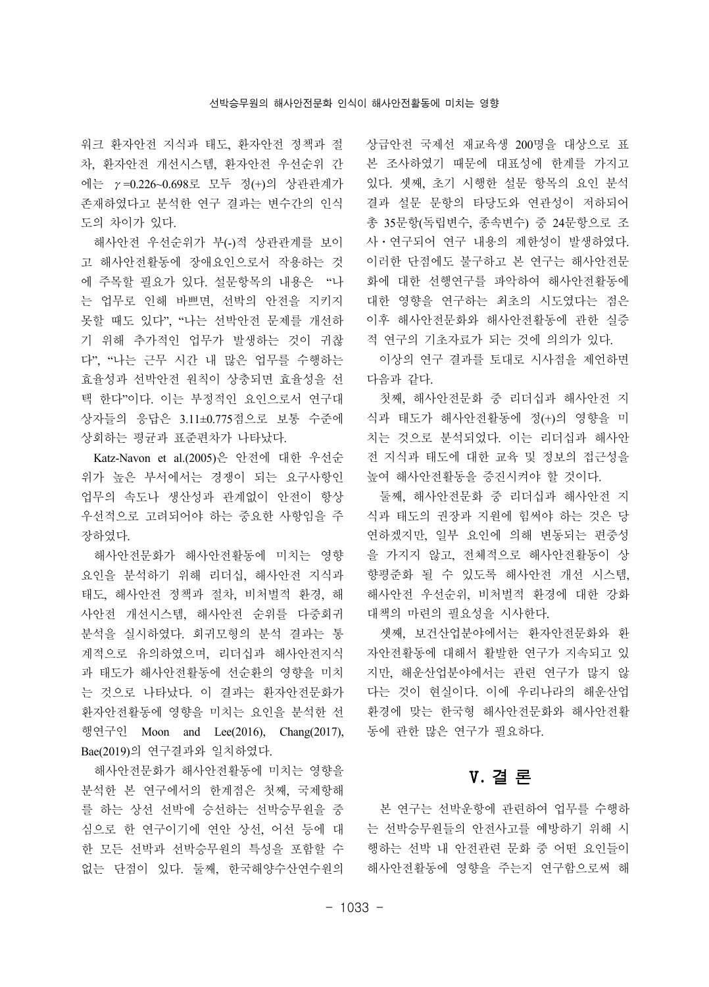워크 환자안전 지식과 태도, 환자안전 정책과 절 차, 환자안전 개선시스템, 환자안전 우선순위 간 에는 γ=0.226~0.698로 모두 정(+)의 상관관계가 존재하였다고 분석한 연구 결과는 변수간의 인식 도의 차이가 있다.

해사안전 우선순위가 부(-)적 상관관계를 보이 고 해사안전활동에 장애요인으로서 작용하는 것 에 주목할 필요가 있다. 설문항목의 내용은 "나 는 업무로 인해 바쁘면, 선박의 안전을 지키지 못할 때도 있다", "나는 선박안전 문제를 개선하 기 위해 추가적인 업무가 발생하는 것이 귀찮 다", "나는 근무 시간 내 많은 업무를 수행하는 효율성과 선박안전 원칙이 상충되면 효율성을 선 택 한다"이다. 이는 부정적인 요인으로서 연구대 상자들의 응답은 3.11±0.775점으로 보통 수준에 상회하는 평균과 표준편차가 나타났다.

Katz-Navon et al.(2005)은 안전에 대한 우선순 위가 높은 부서에서는 경쟁이 되는 요구사항인 업무의 속도나 생산성과 관계없이 안전이 항상 우선적으로 고려되어야 하는 중요한 사항임을 주 장하였다.

해사안전문화가 해사안전활동에 미치는 영향 요인을 분석하기 위해 리더십, 해사안전 지식과 태도, 해사안전 정책과 절차, 비처벌적 환경, 해 사안전 개선시스템, 해사안전 순위를 다중회귀 분석을 실시하였다. 회귀모형의 분석 결과는 통 계적으로 유의하였으며, 리더십과 해사안전지식 과 태도가 해사안전활동에 선순환의 영향을 미치 는 것으로 나타났다. 이 결과는 환자안전문화가 환자안전활동에 영향을 미치는 요인을 분석한 선 행연구인 Moon and Lee(2016), Chang(2017), Bae(2019)의 연구결과와 일치하였다.

해사안전문화가 해사안전활동에 미치는 영향을 분석한 본 연구에서의 한계점은 첫째, 국제항해 를 하는 상선 선박에 승선하는 선박승무원을 중 심으로 한 연구이기에 연안 상선, 어선 등에 대 한 모든 선박과 선박승무원의 특성을 포함할 수 없는 단점이 있다. 둘째, 한국해양수산연수원의

상급안전 국제선 재교육생 200명을 대상으로 표 본 조사하였기 때문에 대표성에 한계를 가지고 있다. 셋째, 초기 시행한 설문 항목의 요인 분석 결과 설문 문항의 타당도와 연관성이 저하되어 총 35문항(독립변수, 종속변수) 중 24문항으로 조 사ㆍ연구되어 연구 내용의 제한성이 발생하였다. 이러한 단점에도 불구하고 본 연구는 해사안전문 화에 대한 선행연구를 파악하여 해사안전활동에 대한 영향을 연구하는 최초의 시도였다는 점은 이후 해사안전문화와 해사안전활동에 관한 실증 적 연구의 기초자료가 되는 것에 의의가 있다.

이상의 연구 결과를 토대로 시사점을 제언하면 다음과 같다.

첫째, 해사안전문화 중 리더십과 해사안전 지 식과 태도가 해사안전활동에 정(+)의 영향을 미 치는 것으로 분석되었다. 이는 리더십과 해사안 전 지식과 태도에 대한 교육 및 정보의 접근성을 높여 해사안전활동을 증진시켜야 할 것이다.

둘째, 해사안전문화 중 리더십과 해사안전 지 식과 태도의 권장과 지원에 힘써야 하는 것은 당 연하겠지만, 일부 요인에 의해 변동되는 편중성 을 가지지 않고, 전체적으로 해사안전활동이 상 향평준화 될 수 있도록 해사안전 개선 시스템, 해사안전 우선순위, 비처벌적 환경에 대한 강화 대책의 마련의 필요성을 시사한다.

셋째, 보건산업분야에서는 환자안전문화와 환 자안전활동에 대해서 활발한 연구가 지속되고 있 지만, 해운산업분야에서는 관련 연구가 많지 않 다는 것이 현실이다. 이에 우리나라의 해운산업 환경에 맞는 한국형 해사안전문화와 해사안전활 동에 관한 많은 연구가 필요하다.

# Ⅴ**.** 결 론

본 연구는 선박운항에 관련하여 업무를 수행하 는 선박승무원들의 안전사고를 예방하기 위해 시 행하는 선박 내 안전관련 문화 중 어떤 요인들이 해사안전활동에 영향을 주는지 연구함으로써 해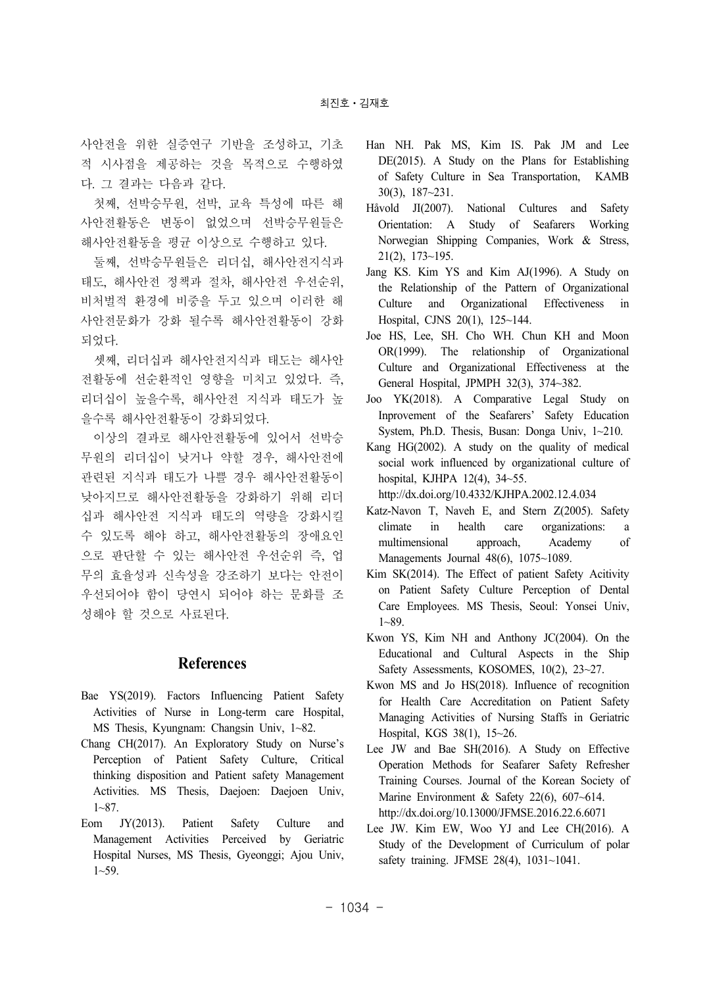사안전을 위한 실증연구 기반을 조성하고, 기초 적 시사점을 제공하는 것을 목적으로 수행하였 다. 그 결과는 다음과 같다.

첫째, 선박승무원, 선박, 교육 특성에 따른 해 사안전활동은 변동이 없었으며 선박승무원들은 해사안전활동을 평균 이상으로 수행하고 있다.

둘째, 선박승무원들은 리더십, 해사안전지식과 태도, 해사안전 정책과 절차, 해사안전 우선순위, 비처벌적 환경에 비중을 두고 있으며 이러한 해 사안전문화가 강화 될수록 해사안전활동이 강화 되었다.

셋째, 리더십과 해사안전지식과 태도는 해사안 전활동에 선순환적인 영향을 미치고 있었다. 즉, 리더십이 높을수록, 해사안전 지식과 태도가 높 을수록 해사안전활동이 강화되었다.

이상의 결과로 해사안전활동에 있어서 선박승 무원의 리더십이 낮거나 약할 경우, 해사안전에 관련된 지식과 태도가 나쁠 경우 해사안전활동이 낮아지므로 해사안전활동을 강화하기 위해 리더 십과 해사안전 지식과 태도의 역량을 강화시킬 수 있도록 해야 하고, 해사안전활동의 장애요인 으로 판단할 수 있는 해사안전 우선순위 즉, 업 무의 효율성과 신속성을 강조하기 보다는 안전이 우선되어야 함이 당연시 되어야 하는 문화를 조 성해야 할 것으로 사료된다.

### **References**

- Bae YS(2019). Factors Influencing Patient Safety Activities of Nurse in Long-term care Hospital, MS Thesis, Kyungnam: Changsin Univ, 1~82.
- Chang CH(2017). An Exploratory Study on Nurse's Perception of Patient Safety Culture, Critical thinking disposition and Patient safety Management Activities. MS Thesis, Daejoen: Daejoen Univ, 1~87.
- Eom JY(2013). Patient Safety Culture and Management Activities Perceived by Geriatric Hospital Nurses, MS Thesis, Gyeonggi; Ajou Univ, 1~59.
- Han NH. Pak MS, Kim IS. Pak JM and Lee DE(2015). A Study on the Plans for Establishing of Safety Culture in Sea Transportation, KAMB 30(3), 187~231.
- Håvold JI(2007). National Cultures and Safety Orientation: A Study of Seafarers Working Norwegian Shipping Companies, Work & Stress, 21(2), 173~195.
- Jang KS. Kim YS and Kim AJ(1996). A Study on the Relationship of the Pattern of Organizational Culture and Organizational Effectiveness in Hospital, CJNS 20(1), 125~144.
- Joe HS, Lee, SH. Cho WH. Chun KH and Moon OR(1999). The relationship of Organizational Culture and Organizational Effectiveness at the General Hospital, JPMPH 32(3), 374~382.
- Joo YK(2018). A Comparative Legal Study on Inprovement of the Seafarers' Safety Education System, Ph.D. Thesis, Busan: Donga Univ, 1~210.

Kang HG(2002). A study on the quality of medical social work influenced by organizational culture of hospital, KJHPA 12(4), 34~55.

http://dx.doi.org/10.4332/KJHPA.2002.12.4.034

- Katz-Navon T, Naveh E, and Stern Z(2005). Safety climate in health care organizations: a multimensional approach, Academy of Managements Journal 48(6), 1075~1089.
- Kim SK(2014). The Effect of patient Safety Acitivity on Patient Safety Culture Perception of Dental Care Employees. MS Thesis, Seoul: Yonsei Univ, 1~89.
- Kwon YS, Kim NH and Anthony JC(2004). On the Educational and Cultural Aspects in the Ship Safety Assessments, KOSOMES, 10(2), 23~27.
- Kwon MS and Jo HS(2018). Influence of recognition for Health Care Accreditation on Patient Safety Managing Activities of Nursing Staffs in Geriatric Hospital, KGS 38(1), 15~26.
- Lee JW and Bae SH(2016). A Study on Effective Operation Methods for Seafarer Safety Refresher Training Courses. Journal of the Korean Society of Marine Environment & Safety 22(6), 607~614. http://dx.doi.org/10.13000/JFMSE.2016.22.6.6071
- Lee JW. Kim EW, Woo YJ and Lee CH(2016). A Study of the Development of Curriculum of polar safety training. JFMSE 28(4), 1031~1041.